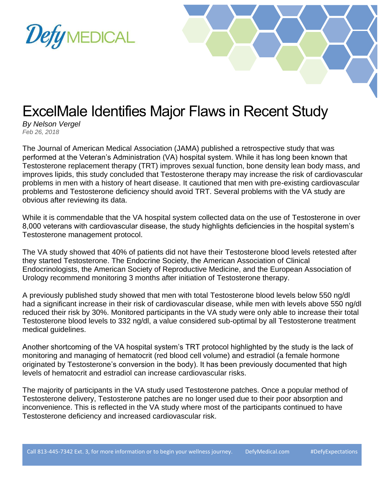



## ExcelMale Identifies Major Flaws in Recent Study

*By Nelson Vergel Feb 26, 2018*

The Journal of American Medical Association (JAMA) published a retrospective study that was performed at the Veteran's Administration (VA) hospital system. While it has long been known that Testosterone replacement therapy (TRT) improves sexual function, bone density lean body mass, and improves lipids, this study concluded that Testosterone therapy may increase the risk of cardiovascular problems in men with a history of heart disease. It cautioned that men with pre-existing cardiovascular problems and Testosterone deficiency should avoid TRT. Several problems with the VA study are obvious after reviewing its data.

While it is commendable that the VA hospital system collected data on the use of Testosterone in over 8,000 veterans with cardiovascular disease, the study highlights deficiencies in the hospital system's Testosterone management protocol.

The VA study showed that 40% of patients did not have their Testosterone blood levels retested after they started Testosterone. The Endocrine Society, the American Association of Clinical Endocrinologists, the American Society of Reproductive Medicine, and the European Association of Urology recommend monitoring 3 months after initiation of Testosterone therapy.

A previously published study showed that men with total Testosterone blood levels below 550 ng/dl had a significant increase in their risk of cardiovascular disease, while men with levels above 550 ng/dl reduced their risk by 30%. Monitored participants in the VA study were only able to increase their total Testosterone blood levels to 332 ng/dl, a value considered sub-optimal by all Testosterone treatment medical guidelines.

Another shortcoming of the VA hospital system's TRT protocol highlighted by the study is the lack of monitoring and managing of hematocrit (red blood cell volume) and estradiol (a female hormone originated by Testosterone's conversion in the body). It has been previously documented that high levels of hematocrit and estradiol can increase cardiovascular risks.

The majority of participants in the VA study used Testosterone patches. Once a popular method of Testosterone delivery, Testosterone patches are no longer used due to their poor absorption and inconvenience. This is reflected in the VA study where most of the participants continued to have Testosterone deficiency and increased cardiovascular risk.